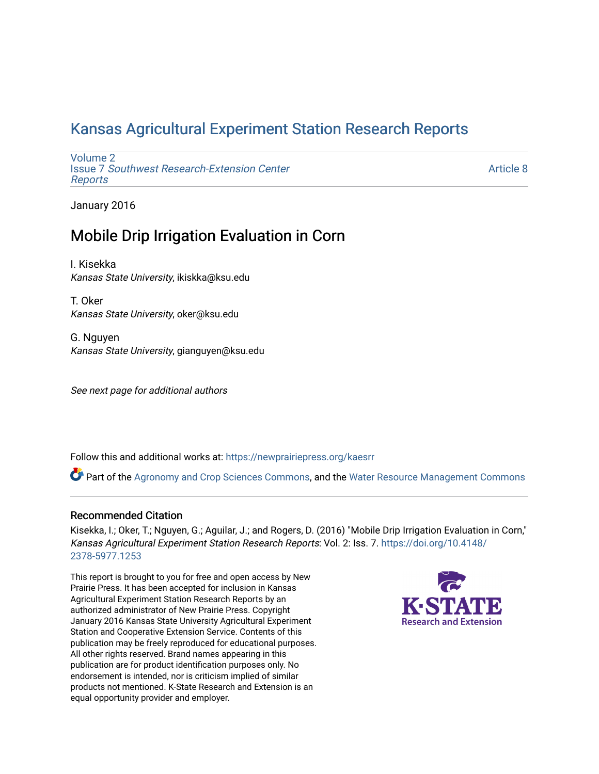# [Kansas Agricultural Experiment Station Research Reports](https://newprairiepress.org/kaesrr)

[Volume 2](https://newprairiepress.org/kaesrr/vol2) Issue 7 [Southwest Research-Extension Center](https://newprairiepress.org/kaesrr/vol2/iss7)  [Reports](https://newprairiepress.org/kaesrr/vol2/iss7)

[Article 8](https://newprairiepress.org/kaesrr/vol2/iss7/8) 

January 2016

# Mobile Drip Irrigation Evaluation in Corn

I. Kisekka Kansas State University, ikiskka@ksu.edu

T. Oker Kansas State University, oker@ksu.edu

G. Nguyen Kansas State University, gianguyen@ksu.edu

See next page for additional authors

Follow this and additional works at: [https://newprairiepress.org/kaesrr](https://newprairiepress.org/kaesrr?utm_source=newprairiepress.org%2Fkaesrr%2Fvol2%2Fiss7%2F8&utm_medium=PDF&utm_campaign=PDFCoverPages) 

Part of the [Agronomy and Crop Sciences Commons,](http://network.bepress.com/hgg/discipline/103?utm_source=newprairiepress.org%2Fkaesrr%2Fvol2%2Fiss7%2F8&utm_medium=PDF&utm_campaign=PDFCoverPages) and the [Water Resource Management Commons](http://network.bepress.com/hgg/discipline/1057?utm_source=newprairiepress.org%2Fkaesrr%2Fvol2%2Fiss7%2F8&utm_medium=PDF&utm_campaign=PDFCoverPages)

#### Recommended Citation

Kisekka, I.; Oker, T.; Nguyen, G.; Aguilar, J.; and Rogers, D. (2016) "Mobile Drip Irrigation Evaluation in Corn," Kansas Agricultural Experiment Station Research Reports: Vol. 2: Iss. 7. [https://doi.org/10.4148/](https://doi.org/10.4148/2378-5977.1253) [2378-5977.1253](https://doi.org/10.4148/2378-5977.1253) 

This report is brought to you for free and open access by New Prairie Press. It has been accepted for inclusion in Kansas Agricultural Experiment Station Research Reports by an authorized administrator of New Prairie Press. Copyright January 2016 Kansas State University Agricultural Experiment Station and Cooperative Extension Service. Contents of this publication may be freely reproduced for educational purposes. All other rights reserved. Brand names appearing in this publication are for product identification purposes only. No endorsement is intended, nor is criticism implied of similar products not mentioned. K-State Research and Extension is an equal opportunity provider and employer.

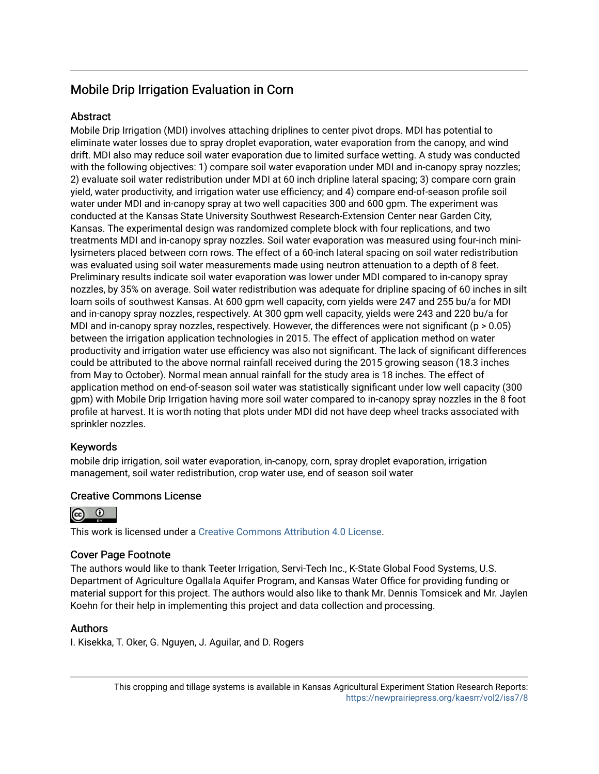# Mobile Drip Irrigation Evaluation in Corn

#### Abstract

Mobile Drip Irrigation (MDI) involves attaching driplines to center pivot drops. MDI has potential to eliminate water losses due to spray droplet evaporation, water evaporation from the canopy, and wind drift. MDI also may reduce soil water evaporation due to limited surface wetting. A study was conducted with the following objectives: 1) compare soil water evaporation under MDI and in-canopy spray nozzles; 2) evaluate soil water redistribution under MDI at 60 inch dripline lateral spacing; 3) compare corn grain yield, water productivity, and irrigation water use efficiency; and 4) compare end-of-season profile soil water under MDI and in-canopy spray at two well capacities 300 and 600 gpm. The experiment was conducted at the Kansas State University Southwest Research-Extension Center near Garden City, Kansas. The experimental design was randomized complete block with four replications, and two treatments MDI and in-canopy spray nozzles. Soil water evaporation was measured using four-inch minilysimeters placed between corn rows. The effect of a 60-inch lateral spacing on soil water redistribution was evaluated using soil water measurements made using neutron attenuation to a depth of 8 feet. Preliminary results indicate soil water evaporation was lower under MDI compared to in-canopy spray nozzles, by 35% on average. Soil water redistribution was adequate for dripline spacing of 60 inches in silt loam soils of southwest Kansas. At 600 gpm well capacity, corn yields were 247 and 255 bu/a for MDI and in-canopy spray nozzles, respectively. At 300 gpm well capacity, yields were 243 and 220 bu/a for MDI and in-canopy spray nozzles, respectively. However, the differences were not significant ( $p > 0.05$ ) between the irrigation application technologies in 2015. The effect of application method on water productivity and irrigation water use efficiency was also not significant. The lack of significant differences could be attributed to the above normal rainfall received during the 2015 growing season (18.3 inches from May to October). Normal mean annual rainfall for the study area is 18 inches. The effect of application method on end-of-season soil water was statistically significant under low well capacity (300 gpm) with Mobile Drip Irrigation having more soil water compared to in-canopy spray nozzles in the 8 foot profile at harvest. It is worth noting that plots under MDI did not have deep wheel tracks associated with sprinkler nozzles.

#### Keywords

mobile drip irrigation, soil water evaporation, in-canopy, corn, spray droplet evaporation, irrigation management, soil water redistribution, crop water use, end of season soil water

#### Creative Commons License



This work is licensed under a [Creative Commons Attribution 4.0 License](https://creativecommons.org/licenses/by/4.0/).

#### Cover Page Footnote

The authors would like to thank Teeter Irrigation, Servi-Tech Inc., K-State Global Food Systems, U.S. Department of Agriculture Ogallala Aquifer Program, and Kansas Water Office for providing funding or material support for this project. The authors would also like to thank Mr. Dennis Tomsicek and Mr. Jaylen Koehn for their help in implementing this project and data collection and processing.

#### Authors

I. Kisekka, T. Oker, G. Nguyen, J. Aguilar, and D. Rogers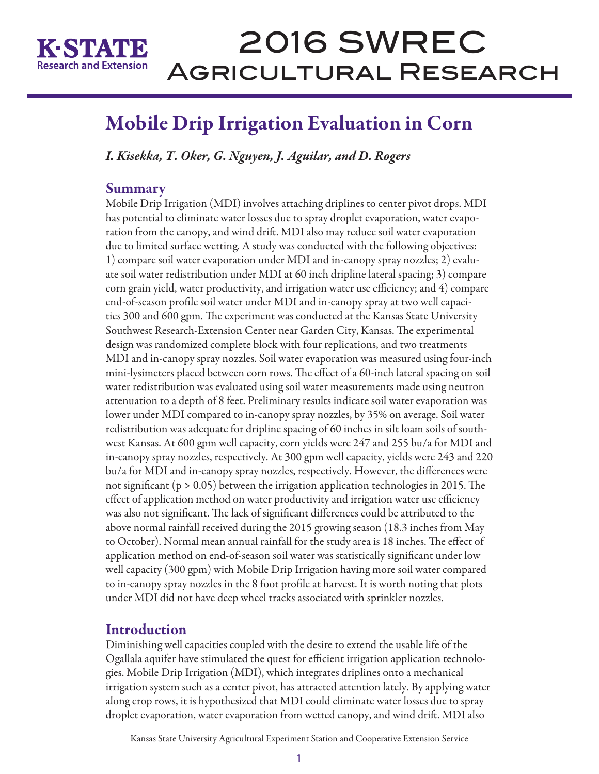

# Mobile Drip Irrigation Evaluation in Corn

*I. Kisekka, T. Oker, G. Nguyen, J. Aguilar, and D. Rogers* 

## Summary

Mobile Drip Irrigation (MDI) involves attaching driplines to center pivot drops. MDI has potential to eliminate water losses due to spray droplet evaporation, water evaporation from the canopy, and wind drift. MDI also may reduce soil water evaporation due to limited surface wetting. A study was conducted with the following objectives: 1) compare soil water evaporation under MDI and in-canopy spray nozzles; 2) evaluate soil water redistribution under MDI at 60 inch dripline lateral spacing; 3) compare corn grain yield, water productivity, and irrigation water use efficiency; and 4) compare end-of-season profile soil water under MDI and in-canopy spray at two well capacities 300 and 600 gpm. The experiment was conducted at the Kansas State University Southwest Research-Extension Center near Garden City, Kansas. The experimental design was randomized complete block with four replications, and two treatments MDI and in-canopy spray nozzles. Soil water evaporation was measured using four-inch mini-lysimeters placed between corn rows. The effect of a 60-inch lateral spacing on soil water redistribution was evaluated using soil water measurements made using neutron attenuation to a depth of 8 feet. Preliminary results indicate soil water evaporation was lower under MDI compared to in-canopy spray nozzles, by 35% on average. Soil water redistribution was adequate for dripline spacing of 60 inches in silt loam soils of southwest Kansas. At 600 gpm well capacity, corn yields were 247 and 255 bu/a for MDI and in-canopy spray nozzles, respectively. At 300 gpm well capacity, yields were 243 and 220 bu/a for MDI and in-canopy spray nozzles, respectively. However, the differences were not significant (p > 0.05) between the irrigation application technologies in 2015. The effect of application method on water productivity and irrigation water use efficiency was also not significant. The lack of significant differences could be attributed to the above normal rainfall received during the 2015 growing season (18.3 inches from May to October). Normal mean annual rainfall for the study area is 18 inches. The effect of application method on end-of-season soil water was statistically significant under low well capacity (300 gpm) with Mobile Drip Irrigation having more soil water compared to in-canopy spray nozzles in the 8 foot profile at harvest. It is worth noting that plots under MDI did not have deep wheel tracks associated with sprinkler nozzles.

# **Introduction**

Diminishing well capacities coupled with the desire to extend the usable life of the Ogallala aquifer have stimulated the quest for efficient irrigation application technologies. Mobile Drip Irrigation (MDI), which integrates driplines onto a mechanical irrigation system such as a center pivot, has attracted attention lately. By applying water along crop rows, it is hypothesized that MDI could eliminate water losses due to spray droplet evaporation, water evaporation from wetted canopy, and wind drift. MDI also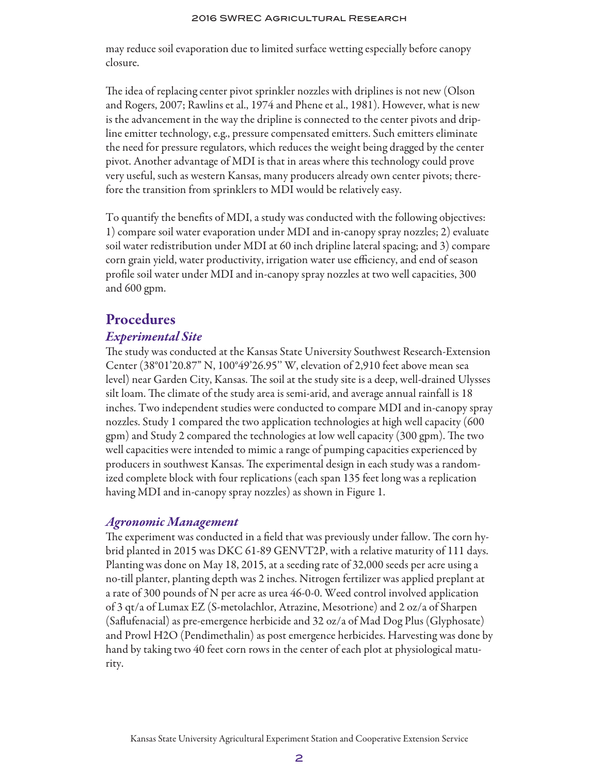may reduce soil evaporation due to limited surface wetting especially before canopy closure.

The idea of replacing center pivot sprinkler nozzles with driplines is not new (Olson and Rogers, 2007; Rawlins et al., 1974 and Phene et al., 1981). However, what is new is the advancement in the way the dripline is connected to the center pivots and dripline emitter technology, e.g., pressure compensated emitters. Such emitters eliminate the need for pressure regulators, which reduces the weight being dragged by the center pivot. Another advantage of MDI is that in areas where this technology could prove very useful, such as western Kansas, many producers already own center pivots; therefore the transition from sprinklers to MDI would be relatively easy.

To quantify the benefits of MDI, a study was conducted with the following objectives: 1) compare soil water evaporation under MDI and in-canopy spray nozzles; 2) evaluate soil water redistribution under MDI at 60 inch dripline lateral spacing; and 3) compare corn grain yield, water productivity, irrigation water use efficiency, and end of season profile soil water under MDI and in-canopy spray nozzles at two well capacities, 300 and 600 gpm.

# Procedures

#### *Experimental Site*

The study was conducted at the Kansas State University Southwest Research-Extension Center (38°01'20.87" N, 100°49'26.95'' W, elevation of 2,910 feet above mean sea level) near Garden City, Kansas. The soil at the study site is a deep, well-drained Ulysses silt loam. The climate of the study area is semi-arid, and average annual rainfall is 18 inches. Two independent studies were conducted to compare MDI and in-canopy spray nozzles. Study 1 compared the two application technologies at high well capacity (600 gpm) and Study 2 compared the technologies at low well capacity (300 gpm). The two well capacities were intended to mimic a range of pumping capacities experienced by producers in southwest Kansas. The experimental design in each study was a randomized complete block with four replications (each span 135 feet long was a replication having MDI and in-canopy spray nozzles) as shown in Figure 1.

#### *Agronomic Management*

The experiment was conducted in a field that was previously under fallow. The corn hybrid planted in 2015 was DKC 61-89 GENVT2P, with a relative maturity of 111 days. Planting was done on May 18, 2015, at a seeding rate of 32,000 seeds per acre using a no-till planter, planting depth was 2 inches. Nitrogen fertilizer was applied preplant at a rate of 300 pounds of N per acre as urea 46-0-0. Weed control involved application of 3 qt/a of Lumax EZ (S-metolachlor, Atrazine, Mesotrione) and 2 oz/a of Sharpen (Saflufenacial) as pre-emergence herbicide and 32 oz/a of Mad Dog Plus (Glyphosate) and Prowl H2O (Pendimethalin) as post emergence herbicides. Harvesting was done by hand by taking two 40 feet corn rows in the center of each plot at physiological maturity.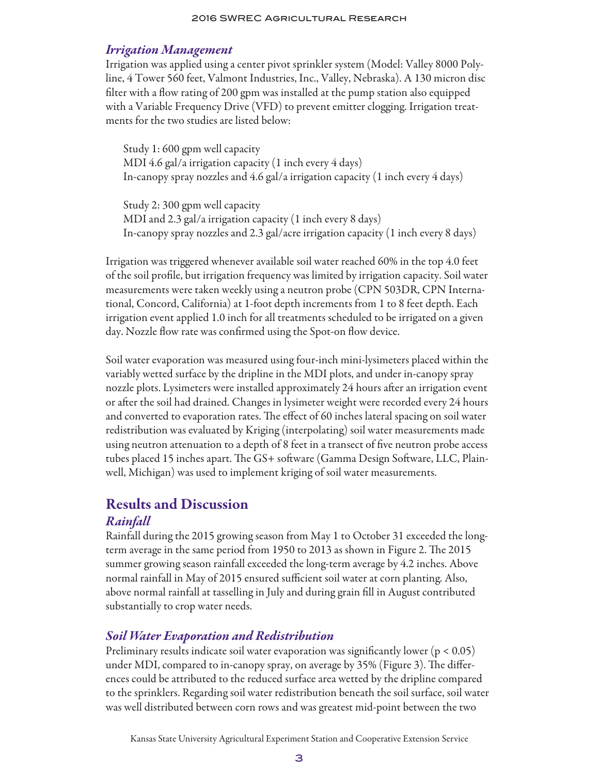#### *Irrigation Management*

Irrigation was applied using a center pivot sprinkler system (Model: Valley 8000 Polyline, 4 Tower 560 feet, Valmont Industries, Inc., Valley, Nebraska). A 130 micron disc filter with a flow rating of 200 gpm was installed at the pump station also equipped with a Variable Frequency Drive (VFD) to prevent emitter clogging. Irrigation treatments for the two studies are listed below:

Study 1: 600 gpm well capacity MDI 4.6 gal/a irrigation capacity (1 inch every 4 days) In-canopy spray nozzles and 4.6 gal/a irrigation capacity (1 inch every 4 days)

Study 2: 300 gpm well capacity MDI and 2.3 gal/a irrigation capacity (1 inch every 8 days) In-canopy spray nozzles and 2.3 gal/acre irrigation capacity (1 inch every 8 days)

Irrigation was triggered whenever available soil water reached 60% in the top 4.0 feet of the soil profile, but irrigation frequency was limited by irrigation capacity. Soil water measurements were taken weekly using a neutron probe (CPN 503DR, CPN International, Concord, California) at 1-foot depth increments from 1 to 8 feet depth. Each irrigation event applied 1.0 inch for all treatments scheduled to be irrigated on a given day. Nozzle flow rate was confirmed using the Spot-on flow device.

Soil water evaporation was measured using four-inch mini-lysimeters placed within the variably wetted surface by the dripline in the MDI plots, and under in-canopy spray nozzle plots. Lysimeters were installed approximately 24 hours after an irrigation event or after the soil had drained. Changes in lysimeter weight were recorded every 24 hours and converted to evaporation rates. The effect of 60 inches lateral spacing on soil water redistribution was evaluated by Kriging (interpolating) soil water measurements made using neutron attenuation to a depth of 8 feet in a transect of five neutron probe access tubes placed 15 inches apart. The GS+ software (Gamma Design Software, LLC, Plainwell, Michigan) was used to implement kriging of soil water measurements.

## Results and Discussion

#### *Rainfall*

Rainfall during the 2015 growing season from May 1 to October 31 exceeded the longterm average in the same period from 1950 to 2013 as shown in Figure 2. The 2015 summer growing season rainfall exceeded the long-term average by 4.2 inches. Above normal rainfall in May of 2015 ensured sufficient soil water at corn planting. Also, above normal rainfall at tasselling in July and during grain fill in August contributed substantially to crop water needs.

#### *Soil Water Evaporation and Redistribution*

Preliminary results indicate soil water evaporation was significantly lower ( $p < 0.05$ ) under MDI, compared to in-canopy spray, on average by 35% (Figure 3). The differences could be attributed to the reduced surface area wetted by the dripline compared to the sprinklers. Regarding soil water redistribution beneath the soil surface, soil water was well distributed between corn rows and was greatest mid-point between the two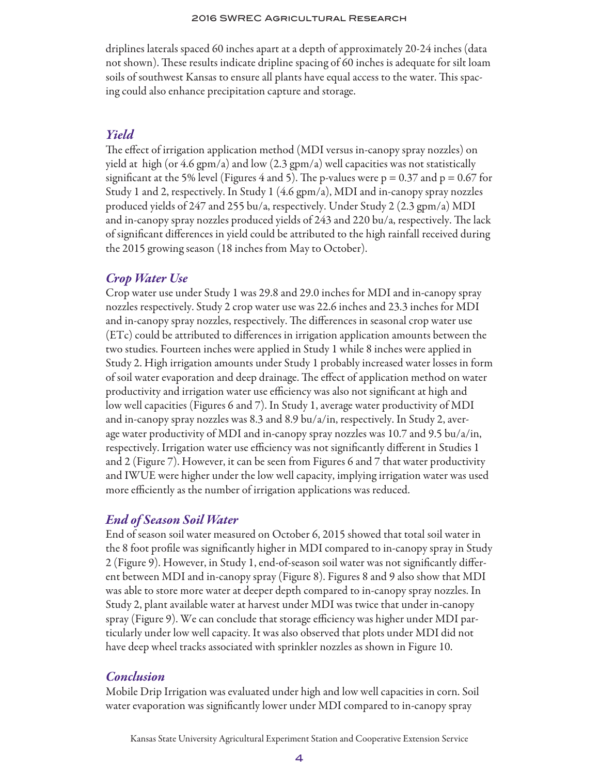driplines laterals spaced 60 inches apart at a depth of approximately 20-24 inches (data not shown). These results indicate dripline spacing of 60 inches is adequate for silt loam soils of southwest Kansas to ensure all plants have equal access to the water. This spacing could also enhance precipitation capture and storage.

#### *Yield*

The effect of irrigation application method (MDI versus in-canopy spray nozzles) on yield at high (or 4.6 gpm/a) and low (2.3 gpm/a) well capacities was not statistically significant at the 5% level (Figures 4 and 5). The p-values were  $p = 0.37$  and  $p = 0.67$  for Study 1 and 2, respectively. In Study 1 (4.6 gpm/a), MDI and in-canopy spray nozzles produced yields of 247 and 255 bu/a, respectively. Under Study 2 (2.3 gpm/a) MDI and in-canopy spray nozzles produced yields of 243 and 220 bu/a, respectively. The lack of significant differences in yield could be attributed to the high rainfall received during the 2015 growing season (18 inches from May to October).

#### *Crop Water Use*

Crop water use under Study 1 was 29.8 and 29.0 inches for MDI and in-canopy spray nozzles respectively. Study 2 crop water use was 22.6 inches and 23.3 inches for MDI and in-canopy spray nozzles, respectively. The differences in seasonal crop water use (ETc) could be attributed to differences in irrigation application amounts between the two studies. Fourteen inches were applied in Study 1 while 8 inches were applied in Study 2. High irrigation amounts under Study 1 probably increased water losses in form of soil water evaporation and deep drainage. The effect of application method on water productivity and irrigation water use efficiency was also not significant at high and low well capacities (Figures 6 and 7). In Study 1, average water productivity of MDI and in-canopy spray nozzles was 8.3 and 8.9 bu/a/in, respectively. In Study 2, average water productivity of MDI and in-canopy spray nozzles was 10.7 and 9.5 bu/a/in, respectively. Irrigation water use efficiency was not significantly different in Studies 1 and 2 (Figure 7). However, it can be seen from Figures 6 and 7 that water productivity and IWUE were higher under the low well capacity, implying irrigation water was used more efficiently as the number of irrigation applications was reduced.

#### *End of Season Soil Water*

End of season soil water measured on October 6, 2015 showed that total soil water in the 8 foot profile was significantly higher in MDI compared to in-canopy spray in Study 2 (Figure 9). However, in Study 1, end-of-season soil water was not significantly different between MDI and in-canopy spray (Figure 8). Figures 8 and 9 also show that MDI was able to store more water at deeper depth compared to in-canopy spray nozzles. In Study 2, plant available water at harvest under MDI was twice that under in-canopy spray (Figure 9). We can conclude that storage efficiency was higher under MDI particularly under low well capacity. It was also observed that plots under MDI did not have deep wheel tracks associated with sprinkler nozzles as shown in Figure 10.

#### *Conclusion*

Mobile Drip Irrigation was evaluated under high and low well capacities in corn. Soil water evaporation was significantly lower under MDI compared to in-canopy spray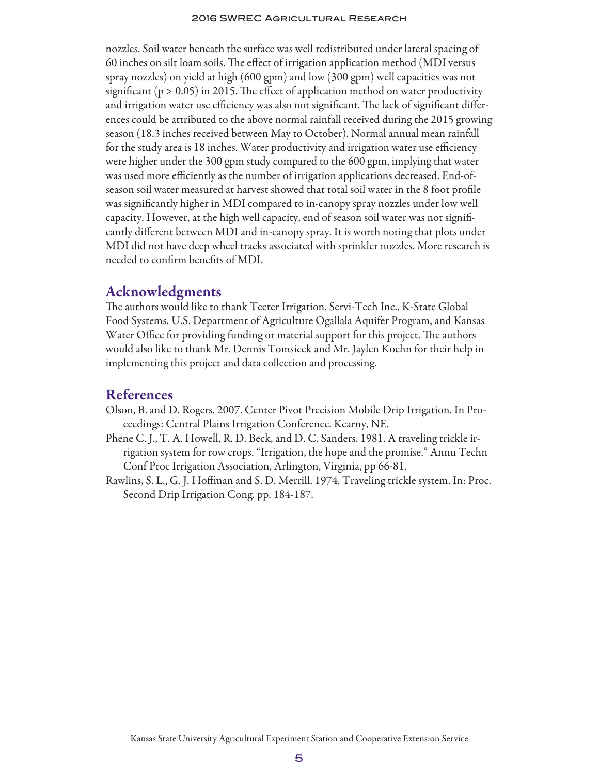nozzles. Soil water beneath the surface was well redistributed under lateral spacing of 60 inches on silt loam soils. The effect of irrigation application method (MDI versus spray nozzles) on yield at high (600 gpm) and low (300 gpm) well capacities was not significant ( $p > 0.05$ ) in 2015. The effect of application method on water productivity and irrigation water use efficiency was also not significant. The lack of significant differences could be attributed to the above normal rainfall received during the 2015 growing season (18.3 inches received between May to October). Normal annual mean rainfall for the study area is 18 inches. Water productivity and irrigation water use efficiency were higher under the 300 gpm study compared to the 600 gpm, implying that water was used more efficiently as the number of irrigation applications decreased. End-ofseason soil water measured at harvest showed that total soil water in the 8 foot profile was significantly higher in MDI compared to in-canopy spray nozzles under low well capacity. However, at the high well capacity, end of season soil water was not significantly different between MDI and in-canopy spray. It is worth noting that plots under MDI did not have deep wheel tracks associated with sprinkler nozzles. More research is needed to confirm benefits of MDI.

#### Acknowledgments

The authors would like to thank Teeter Irrigation, Servi-Tech Inc., K-State Global Food Systems, U.S. Department of Agriculture Ogallala Aquifer Program, and Kansas Water Office for providing funding or material support for this project. The authors would also like to thank Mr. Dennis Tomsicek and Mr. Jaylen Koehn for their help in implementing this project and data collection and processing.

#### References

- Olson, B. and D. Rogers. 2007. Center Pivot Precision Mobile Drip Irrigation. In Proceedings: Central Plains Irrigation Conference. Kearny, NE.
- Phene C. J., T. A. Howell, R. D. Beck, and D. C. Sanders. 1981. A traveling trickle irrigation system for row crops. "Irrigation, the hope and the promise." Annu Techn Conf Proc Irrigation Association, Arlington, Virginia, pp 66-81.
- Rawlins, S. L., G. J. Hoffman and S. D. Merrill. 1974. Traveling trickle system. In: Proc. Second Drip Irrigation Cong. pp. 184-187.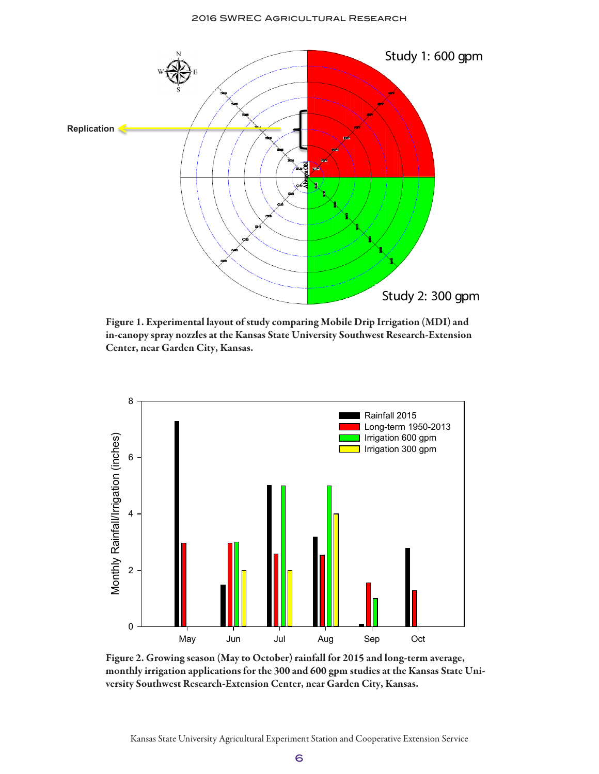

Figure 1. Experimental layout of study comparing Mobile Drip Irrigation (MDI) and in-canopy spray nozzles at the Kansas State University Southwest Research-Extension Center, near Garden City, Kansas.



Figure 2. Growing season (May to October) rainfall for 2015 and long-term average, monthly irrigation applications for the 300 and 600 gpm studies at the Kansas State University Southwest Research-Extension Center, near Garden City, Kansas.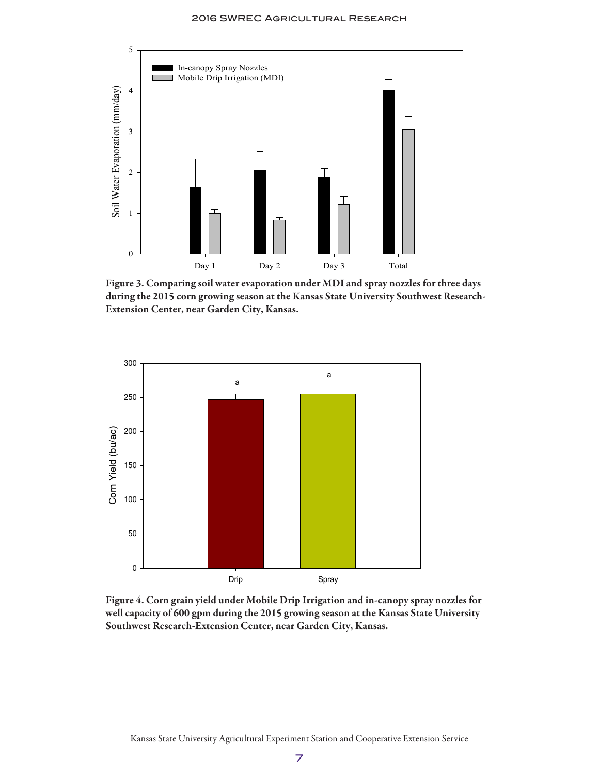

Figure 3. Comparing soil water evaporation under MDI and spray nozzles for three days during the 2015 corn growing season at the Kansas State University Southwest Research-Extension Center, near Garden City, Kansas.



Figure 4. Corn grain yield under Mobile Drip Irrigation and in-canopy spray nozzles for well capacity of 600 gpm during the 2015 growing season at the Kansas State University Southwest Research-Extension Center, near Garden City, Kansas.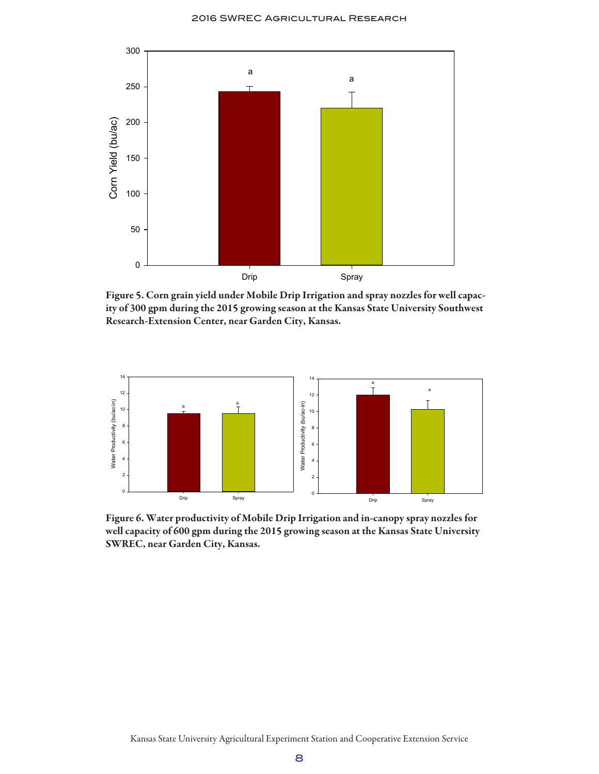

Figure 5. Corn grain yield under Mobile Drip Irrigation and spray nozzles for well capacity of 300 gpm during the 2015 growing season at the Kansas State University Southwest Research-Extension Center, near Garden City, Kansas.



Figure 6. Water productivity of Mobile Drip Irrigation and in-canopy spray nozzles for well capacity of 600 gpm during the 2015 growing season at the Kansas State University SWREC, near Garden City, Kansas.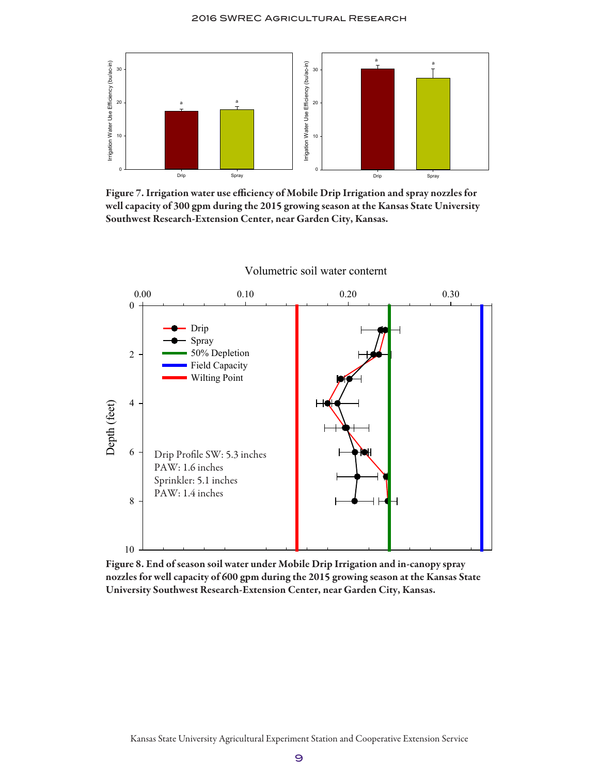

Figure 7. Irrigation water use efficiency of Mobile Drip Irrigation and spray nozzles for well capacity of 300 gpm during the 2015 growing season at the Kansas State University Southwest Research-Extension Center, near Garden City, Kansas.



Volumetric soil water conternt

Figure 8. End of season soil water under Mobile Drip Irrigation and in-canopy spray nozzles for well capacity of 600 gpm during the 2015 growing season at the Kansas State University Southwest Research-Extension Center, near Garden City, Kansas.